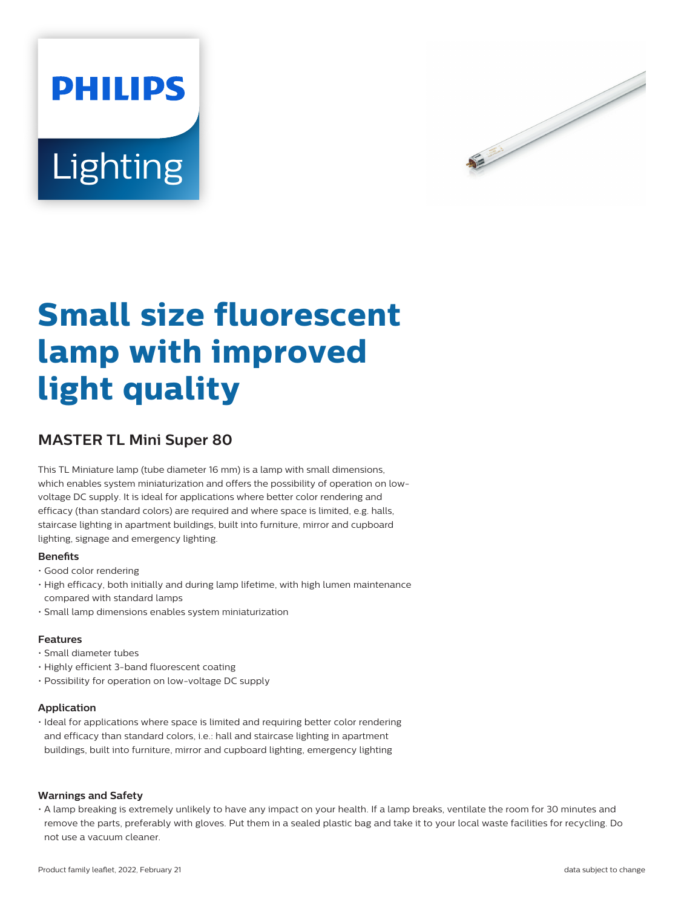



# **Small size fluorescent lamp with improved light quality**

# **MASTER TL Mini Super 80**

This TL Miniature lamp (tube diameter 16 mm) is a lamp with small dimensions, which enables system miniaturization and offers the possibility of operation on lowvoltage DC supply. It is ideal for applications where better color rendering and efficacy (than standard colors) are required and where space is limited, e.g. halls, staircase lighting in apartment buildings, built into furniture, mirror and cupboard lighting, signage and emergency lighting.

## **Benefits**

- Good color rendering
- High efficacy, both initially and during lamp lifetime, with high lumen maintenance compared with standard lamps
- Small lamp dimensions enables system miniaturization

#### **Features**

- Small diameter tubes
- Highly efficient 3-band fluorescent coating
- Possibility for operation on low-voltage DC supply

#### **Application**

• Ideal for applications where space is limited and requiring better color rendering and efficacy than standard colors, i.e.: hall and staircase lighting in apartment buildings, built into furniture, mirror and cupboard lighting, emergency lighting

#### **Warnings and Safety**

• A lamp breaking is extremely unlikely to have any impact on your health. If a lamp breaks, ventilate the room for 30 minutes and remove the parts, preferably with gloves. Put them in a sealed plastic bag and take it to your local waste facilities for recycling. Do not use a vacuum cleaner.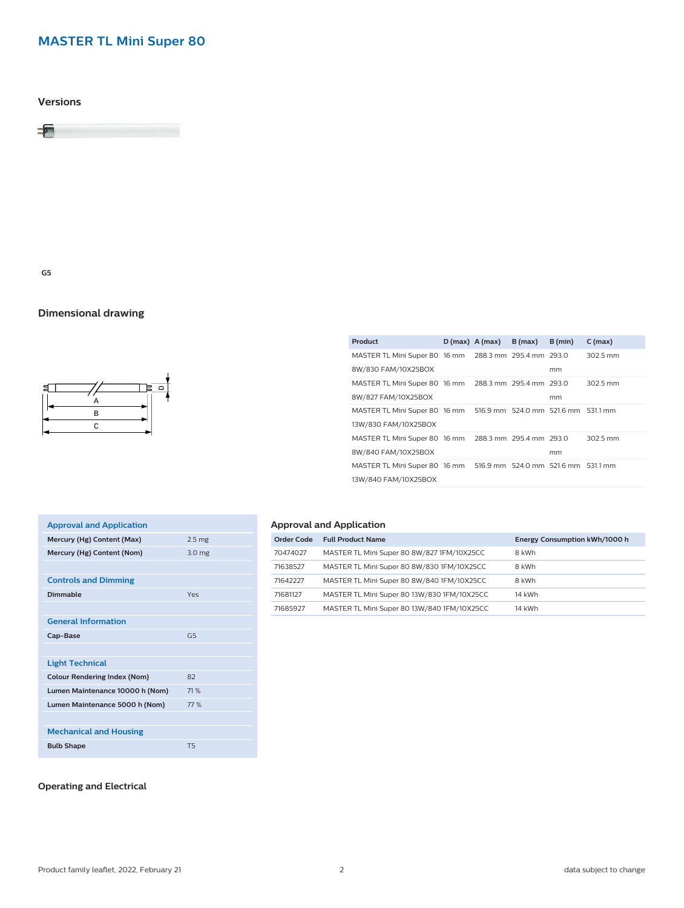# **MASTER TL Mini Super 80**

**Versions**



**G5**

## **Dimensional drawing**



|  | B(max)           | B (min) | $C$ (max)                                                                                                                                                                                                                                                                                                         |
|--|------------------|---------|-------------------------------------------------------------------------------------------------------------------------------------------------------------------------------------------------------------------------------------------------------------------------------------------------------------------|
|  |                  |         | 302.5 mm                                                                                                                                                                                                                                                                                                          |
|  |                  | mm      |                                                                                                                                                                                                                                                                                                                   |
|  |                  |         | 302.5 mm                                                                                                                                                                                                                                                                                                          |
|  |                  | mm      |                                                                                                                                                                                                                                                                                                                   |
|  |                  |         |                                                                                                                                                                                                                                                                                                                   |
|  |                  |         |                                                                                                                                                                                                                                                                                                                   |
|  |                  |         | 302.5 mm                                                                                                                                                                                                                                                                                                          |
|  |                  | mm      |                                                                                                                                                                                                                                                                                                                   |
|  |                  |         |                                                                                                                                                                                                                                                                                                                   |
|  |                  |         |                                                                                                                                                                                                                                                                                                                   |
|  | $D(max)$ A (max) |         | MASTER TL Mini Super 80 16 mm 288.3 mm 295.4 mm 293.0<br>MASTER TL Mini Super 80 16 mm 288.3 mm 295.4 mm 293.0<br>MASTER TL Mini Super 80 16 mm 516.9 mm 524.0 mm 521.6 mm 531.1 mm<br>MASTER TL Mini Super 80 16 mm 288.3 mm 295.4 mm 293.0<br>MASTER TL Mini Super 80 16 mm 516.9 mm 524.0 mm 521.6 mm 531.1 mm |

| <b>Approval and Application</b>     |                   |
|-------------------------------------|-------------------|
| Mercury (Hg) Content (Max)          | 2.5 <sub>mg</sub> |
| Mercury (Hg) Content (Nom)          | 3.0 <sub>mg</sub> |
|                                     |                   |
| <b>Controls and Dimming</b>         |                   |
| Dimmable                            | Yes               |
|                                     |                   |
| <b>General Information</b>          |                   |
| Cap-Base                            | G5                |
|                                     |                   |
| <b>Light Technical</b>              |                   |
| <b>Colour Rendering Index (Nom)</b> | 82                |
| Lumen Maintenance 10000 h (Nom)     | 71 %              |
| Lumen Maintenance 5000 h (Nom)      | 77 %              |
|                                     |                   |
| <b>Mechanical and Housing</b>       |                   |
| <b>Bulb Shape</b>                   | T <sub>5</sub>    |
|                                     |                   |

#### **Operating and Electrical**

## **Approval and Application**

| Order Code | <b>Full Product Name</b>                    | Energy Consumption kWh/1000 h |
|------------|---------------------------------------------|-------------------------------|
| 70474027   | MASTER TL Mini Super 80 8W/827 1FM/10X25CC  | 8 kWh                         |
| 71638527   | MASTER TL Mini Super 80 8W/830 1FM/10X25CC  | 8 kWh                         |
| 71642227   | MASTER TL Mini Super 80 8W/840 1FM/10X25CC  | 8 kWh                         |
| 71681127   | MASTER TL Mini Super 80 13W/830 1FM/10X25CC | 14 kWh                        |
| 71685927   | MASTER TL Mini Super 80 13W/840 1FM/10X25CC | 14 kWh                        |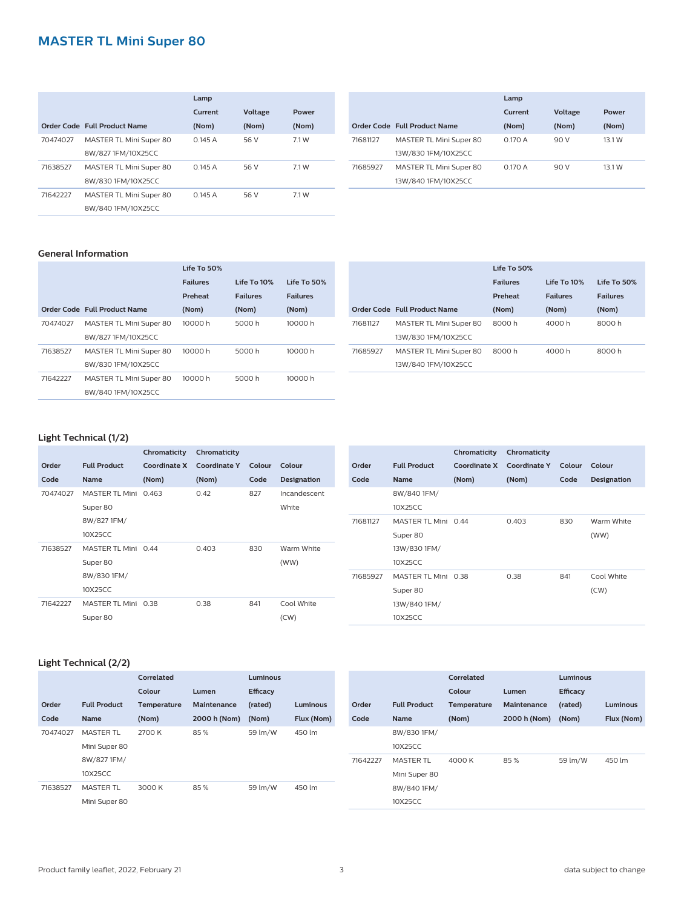## **MASTER TL Mini Super 80**

|          |                              | Lamp    |         |       |  |  |  |  |
|----------|------------------------------|---------|---------|-------|--|--|--|--|
|          |                              | Current | Voltage | Power |  |  |  |  |
|          | Order Code Full Product Name | (Nom)   | (Nom)   | (Nom) |  |  |  |  |
| 70474027 | MASTER TL Mini Super 80      | 0.145A  | 56 V    | 7.1 W |  |  |  |  |
|          | 8W/827 1FM/10X25CC           |         |         |       |  |  |  |  |
| 71638527 | MASTER TL Mini Super 80      | 0.145A  | 56 V    | 7.1 W |  |  |  |  |
|          | 8W/830 1FM/10X25CC           |         |         |       |  |  |  |  |
| 71642227 | MASTER TL Mini Super 80      | 0.145A  | 56 V    | 7.1 W |  |  |  |  |
|          | 8W/840 1FM/10X25CC           |         |         |       |  |  |  |  |

|                              | Lamp    |                |        |  |  |
|------------------------------|---------|----------------|--------|--|--|
|                              | Current | <b>Voltage</b> | Power  |  |  |
| Order Code Full Product Name | (Nom)   | (Nom)          | (Nom)  |  |  |
| MASTER TL Mini Super 80      | 0.170A  | 90 V           | 13.1 W |  |  |
| 13W/830 1FM/10X25CC          |         |                |        |  |  |
| MASTER TL Mini Super 80      | 0.170A  | 90 V           | 13.1 W |  |  |
| 13W/840 1FM/10X25CC          |         |                |        |  |  |
|                              |         |                |        |  |  |

#### **General Information**

|          |                              | Life To 50%     |                 |                 |  |
|----------|------------------------------|-----------------|-----------------|-----------------|--|
|          |                              | <b>Failures</b> | Life To 10%     | Life To 50%     |  |
|          |                              | Preheat         | <b>Failures</b> | <b>Failures</b> |  |
|          | Order Code Full Product Name | (Nom)           | (Nom)           | (Nom)           |  |
| 70474027 | MASTER TL Mini Super 80      | 10000 h         | 5000 h          | 10000 h         |  |
|          | 8W/827 1FM/10X25CC           |                 |                 |                 |  |
| 71638527 | MASTER TL Mini Super 80      | 10000 h         | 5000 h          | 10000 h         |  |
|          | 8W/830 1FM/10X25CC           |                 |                 |                 |  |
| 71642227 | MASTER TL Mini Super 80      | 10000 h         | 5000 h          | 10000 h         |  |
|          | 8W/840 1FM/10X25CC           |                 |                 |                 |  |

|          |                              | Life To 50%     |                   |                 |
|----------|------------------------------|-----------------|-------------------|-----------------|
|          |                              | <b>Failures</b> | $I$ ife To $10\%$ | Life To 50%     |
|          |                              | Preheat         | <b>Failures</b>   | <b>Failures</b> |
|          | Order Code Full Product Name | (Nom)           | (Nom)             | (Nom)           |
| 71681127 | MASTER TL Mini Super 80      | 8000 h          | 4000 h            | 8000 h          |
|          | 13W/830 1FM/10X25CC          |                 |                   |                 |
| 71685927 | MASTER TL Mini Super 80      | 8000 h          | 4000 h            | 8000 h          |
|          | 13W/840 1FM/10X25CC          |                 |                   |                 |

## **Light Technical (1/2)**

|          |                      | Chromaticity        | Chromaticity        |        |                    |          |                     | Chromaticity | Chromaticity        |
|----------|----------------------|---------------------|---------------------|--------|--------------------|----------|---------------------|--------------|---------------------|
| Order    | <b>Full Product</b>  | <b>Coordinate X</b> | <b>Coordinate Y</b> | Colour | Colour             | Order    | <b>Full Product</b> | Coordinate X | <b>Coordinate Y</b> |
| Code     | <b>Name</b>          | (Nom)               | (Nom)               | Code   | <b>Designation</b> | Code     | Name                | (Nom)        | (Nom)               |
| 70474027 | MASTER TL Mini 0.463 |                     | 0.42                | 827    | Incandescent       |          | 8W/840 1FM/         |              |                     |
|          | Super 80             |                     |                     |        | White              |          | 10X25CC             |              |                     |
|          | 8W/827 1FM/          |                     |                     |        |                    | 71681127 | MASTER TL Mini 0.44 |              | 0.403               |
|          | 10X25CC              |                     |                     |        |                    |          | Super 80            |              |                     |
| 71638527 | MASTER TL Mini 0.44  |                     | 0.403               | 830    | Warm White         |          | 13W/830 1FM/        |              |                     |
|          | Super 80             |                     |                     |        | (WW)               |          | 10X25CC             |              |                     |
|          | 8W/830 1FM/          |                     |                     |        |                    | 71685927 | MASTER TL Mini 0.38 |              | 0.38                |
|          | 10X25CC              |                     |                     |        |                    |          | Super 80            |              |                     |
| 71642227 | MASTER TL Mini 0.38  |                     | 0.38                | 841    | Cool White         |          | 13W/840 1FM/        |              |                     |
|          | Super 80             |                     |                     |        | (CW)               |          | 10X25CC             |              |                     |

# **Light Technical (2/2)**

|          |                     | Correlated  |              | <b>Luminous</b> |            |          |                     | Correlated  |              | Luminous |                 |
|----------|---------------------|-------------|--------------|-----------------|------------|----------|---------------------|-------------|--------------|----------|-----------------|
|          |                     | Colour      | Lumen        | <b>Efficacy</b> |            |          |                     | Colour      | Lumen        | Efficacy |                 |
| Order    | <b>Full Product</b> | Temperature | Maintenance  | (rated)         | Luminous   | Order    | <b>Full Product</b> | Temperature | Maintenance  | (rated)  | <b>Luminous</b> |
| Code     | Name                | (Nom)       | 2000 h (Nom) | (Nom)           | Flux (Nom) | Code     | Name                | (Nom)       | 2000 h (Nom) | (Nom)    | Flux (Nom)      |
| 70474027 | <b>MASTER TL</b>    | 2700 K      | 85%          | 59 lm/W         | 450 lm     |          | 8W/830 1FM/         |             |              |          |                 |
|          | Mini Super 80       |             |              |                 |            |          | 10X25CC             |             |              |          |                 |
|          | 8W/8271FM/          |             |              |                 |            | 71642227 | <b>MASTER TL</b>    | 4000 K      | 85%          | 59 lm/W  | 450 lm          |
|          | 10X25CC             |             |              |                 |            |          | Mini Super 80       |             |              |          |                 |
| 71638527 | <b>MASTER TL</b>    | 3000 K      | 85%          | 59 lm/W         | 450 lm     |          | 8W/840 1FM/         |             |              |          |                 |
|          | Mini Super 80       |             |              |                 |            |          | 10X25CC             |             |              |          |                 |
|          |                     |             |              |                 |            |          |                     |             |              |          |                 |

**Colour Colour Code**

830 Warm White (WW)

841 Cool White (CW)

**Designation**